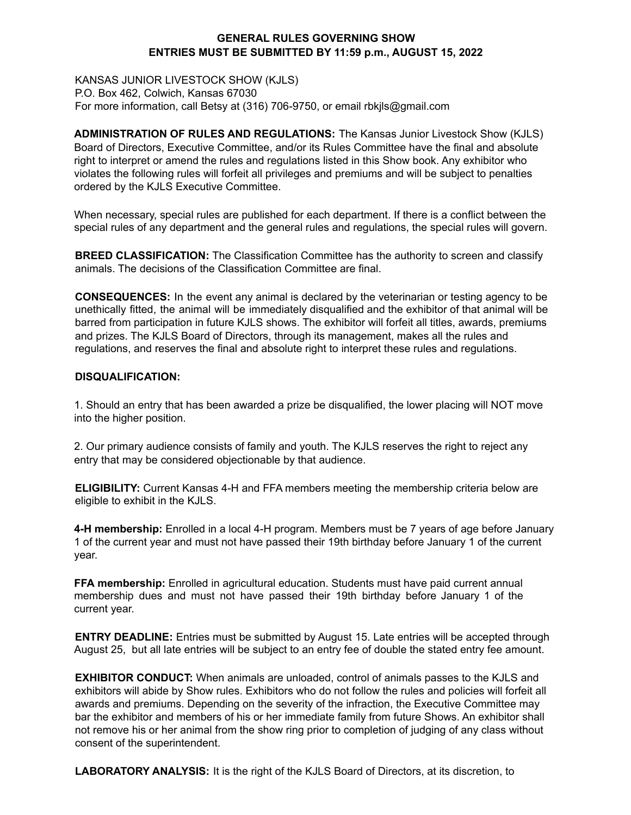## **GENERAL RULES GOVERNING SHOW ENTRIES MUST BE SUBMITTED BY 11:59 p.m., AUGUST 15, 2022**

KANSAS JUNIOR LIVESTOCK SHOW (KJLS) P.O. Box 462, Colwich, Kansas 67030 For more information, call Betsy at (316) 706-9750, or email rbkjls@gmail.com

**ADMINISTRATION OF RULES AND REGULATIONS:** The Kansas Junior Livestock Show (KJLS) Board of Directors, Executive Committee, and/or its Rules Committee have the final and absolute right to interpret or amend the rules and regulations listed in this Show book. Any exhibitor who violates the following rules will forfeit all privileges and premiums and will be subject to penalties ordered by the KJLS Executive Committee.

When necessary, special rules are published for each department. If there is a conflict between the special rules of any department and the general rules and regulations, the special rules will govern.

**BREED CLASSIFICATION:** The Classification Committee has the authority to screen and classify animals. The decisions of the Classification Committee are final.

**CONSEQUENCES:** In the event any animal is declared by the veterinarian or testing agency to be unethically fitted, the animal will be immediately disqualified and the exhibitor of that animal will be barred from participation in future KJLS shows. The exhibitor will forfeit all titles, awards, premiums and prizes. The KJLS Board of Directors, through its management, makes all the rules and regulations, and reserves the final and absolute right to interpret these rules and regulations.

## **DISQUALIFICATION:**

1. Should an entry that has been awarded a prize be disqualified, the lower placing will NOT move into the higher position.

2. Our primary audience consists of family and youth. The KJLS reserves the right to reject any entry that may be considered objectionable by that audience.

**ELIGIBILITY:** Current Kansas 4-H and FFA members meeting the membership criteria below are eligible to exhibit in the KJLS.

**4-H membership:** Enrolled in a local 4-H program. Members must be 7 years of age before January 1 of the current year and must not have passed their 19th birthday before January 1 of the current year.

**FFA membership:** Enrolled in agricultural education. Students must have paid current annual membership dues and must not have passed their 19th birthday before January 1 of the current year.

**ENTRY DEADLINE:** Entries must be submitted by August 15. Late entries will be accepted through August 25, but all late entries will be subject to an entry fee of double the stated entry fee amount.

**EXHIBITOR CONDUCT:** When animals are unloaded, control of animals passes to the KJLS and exhibitors will abide by Show rules. Exhibitors who do not follow the rules and policies will forfeit all awards and premiums. Depending on the severity of the infraction, the Executive Committee may bar the exhibitor and members of his or her immediate family from future Shows. An exhibitor shall not remove his or her animal from the show ring prior to completion of judging of any class without consent of the superintendent.

**LABORATORY ANALYSIS:** It is the right of the KJLS Board of Directors, at its discretion, to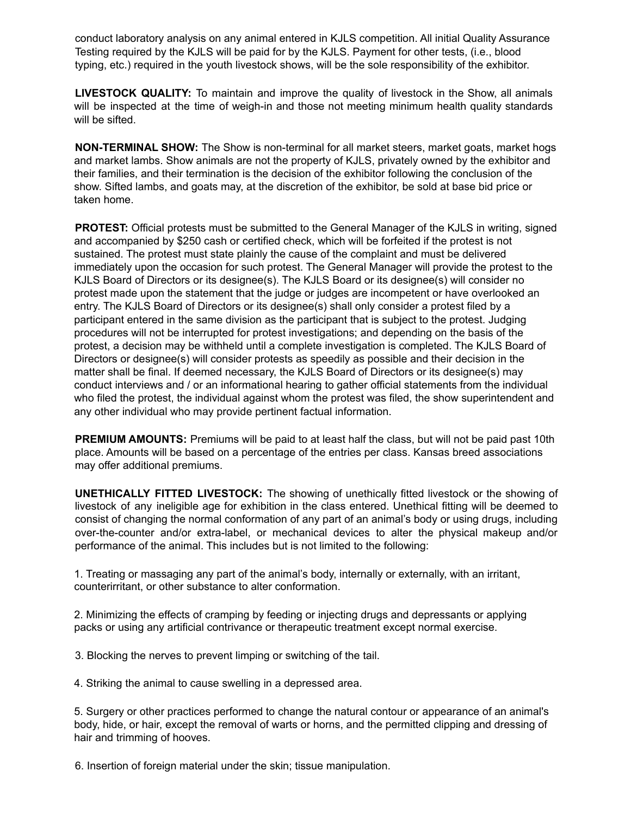conduct laboratory analysis on any animal entered in KJLS competition. All initial Quality Assurance Testing required by the KJLS will be paid for by the KJLS. Payment for other tests, (i.e., blood typing, etc.) required in the youth livestock shows, will be the sole responsibility of the exhibitor.

**LIVESTOCK QUALITY:** To maintain and improve the quality of livestock in the Show, all animals will be inspected at the time of weigh-in and those not meeting minimum health quality standards will be sifted.

**NON-TERMINAL SHOW:** The Show is non-terminal for all market steers, market goats, market hogs and market lambs. Show animals are not the property of KJLS, privately owned by the exhibitor and their families, and their termination is the decision of the exhibitor following the conclusion of the show. Sifted lambs, and goats may, at the discretion of the exhibitor, be sold at base bid price or taken home.

**PROTEST:** Official protests must be submitted to the General Manager of the KJLS in writing, signed and accompanied by \$250 cash or certified check, which will be forfeited if the protest is not sustained. The protest must state plainly the cause of the complaint and must be delivered immediately upon the occasion for such protest. The General Manager will provide the protest to the KJLS Board of Directors or its designee(s). The KJLS Board or its designee(s) will consider no protest made upon the statement that the judge or judges are incompetent or have overlooked an entry. The KJLS Board of Directors or its designee(s) shall only consider a protest filed by a participant entered in the same division as the participant that is subject to the protest. Judging procedures will not be interrupted for protest investigations; and depending on the basis of the protest, a decision may be withheld until a complete investigation is completed. The KJLS Board of Directors or designee(s) will consider protests as speedily as possible and their decision in the matter shall be final. If deemed necessary, the KJLS Board of Directors or its designee(s) may conduct interviews and / or an informational hearing to gather official statements from the individual who filed the protest, the individual against whom the protest was filed, the show superintendent and any other individual who may provide pertinent factual information.

**PREMIUM AMOUNTS:** Premiums will be paid to at least half the class, but will not be paid past 10th place. Amounts will be based on a percentage of the entries per class. Kansas breed associations may offer additional premiums.

**UNETHICALLY FITTED LIVESTOCK:** The showing of unethically fitted livestock or the showing of livestock of any ineligible age for exhibition in the class entered. Unethical fitting will be deemed to consist of changing the normal conformation of any part of an animal's body or using drugs, including over-the-counter and/or extra-label, or mechanical devices to alter the physical makeup and/or performance of the animal. This includes but is not limited to the following:

1. Treating or massaging any part of the animal's body, internally or externally, with an irritant, counterirritant, or other substance to alter conformation.

2. Minimizing the effects of cramping by feeding or injecting drugs and depressants or applying packs or using any artificial contrivance or therapeutic treatment except normal exercise.

3. Blocking the nerves to prevent limping or switching of the tail.

4. Striking the animal to cause swelling in a depressed area.

5. Surgery or other practices performed to change the natural contour or appearance of an animal's body, hide, or hair, except the removal of warts or horns, and the permitted clipping and dressing of hair and trimming of hooves.

6. Insertion of foreign material under the skin; tissue manipulation.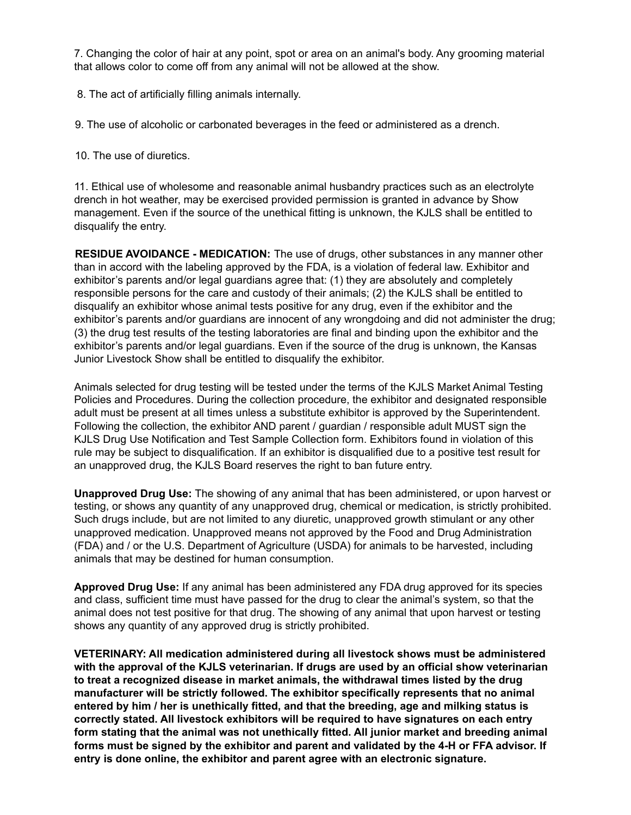7. Changing the color of hair at any point, spot or area on an animal's body. Any grooming material that allows color to come off from any animal will not be allowed at the show.

8. The act of artificially filling animals internally.

9. The use of alcoholic or carbonated beverages in the feed or administered as a drench.

10. The use of diuretics.

11. Ethical use of wholesome and reasonable animal husbandry practices such as an electrolyte drench in hot weather, may be exercised provided permission is granted in advance by Show management. Even if the source of the unethical fitting is unknown, the KJLS shall be entitled to disqualify the entry.

**RESIDUE AVOIDANCE - MEDICATION:** The use of drugs, other substances in any manner other than in accord with the labeling approved by the FDA, is a violation of federal law. Exhibitor and exhibitor's parents and/or legal guardians agree that: (1) they are absolutely and completely responsible persons for the care and custody of their animals; (2) the KJLS shall be entitled to disqualify an exhibitor whose animal tests positive for any drug, even if the exhibitor and the exhibitor's parents and/or guardians are innocent of any wrongdoing and did not administer the drug; (3) the drug test results of the testing laboratories are final and binding upon the exhibitor and the exhibitor's parents and/or legal guardians. Even if the source of the drug is unknown, the Kansas Junior Livestock Show shall be entitled to disqualify the exhibitor.

Animals selected for drug testing will be tested under the terms of the KJLS Market Animal Testing Policies and Procedures. During the collection procedure, the exhibitor and designated responsible adult must be present at all times unless a substitute exhibitor is approved by the Superintendent. Following the collection, the exhibitor AND parent / guardian / responsible adult MUST sign the KJLS Drug Use Notification and Test Sample Collection form. Exhibitors found in violation of this rule may be subject to disqualification. If an exhibitor is disqualified due to a positive test result for an unapproved drug, the KJLS Board reserves the right to ban future entry.

**Unapproved Drug Use:** The showing of any animal that has been administered, or upon harvest or testing, or shows any quantity of any unapproved drug, chemical or medication, is strictly prohibited. Such drugs include, but are not limited to any diuretic, unapproved growth stimulant or any other unapproved medication. Unapproved means not approved by the Food and Drug Administration (FDA) and / or the U.S. Department of Agriculture (USDA) for animals to be harvested, including animals that may be destined for human consumption.

**Approved Drug Use:** If any animal has been administered any FDA drug approved for its species and class, sufficient time must have passed for the drug to clear the animal's system, so that the animal does not test positive for that drug. The showing of any animal that upon harvest or testing shows any quantity of any approved drug is strictly prohibited.

**VETERINARY: All medication administered during all livestock shows must be administered with the approval of the KJLS veterinarian. If drugs are used by an official show veterinarian to treat a recognized disease in market animals, the withdrawal times listed by the drug manufacturer will be strictly followed. The exhibitor specifically represents that no animal entered by him / her is unethically fitted, and that the breeding, age and milking status is correctly stated. All livestock exhibitors will be required to have signatures on each entry form stating that the animal was not unethically fitted. All junior market and breeding animal forms must be signed by the exhibitor and parent and validated by the 4-H or FFA advisor. If entry is done online, the exhibitor and parent agree with an electronic signature.**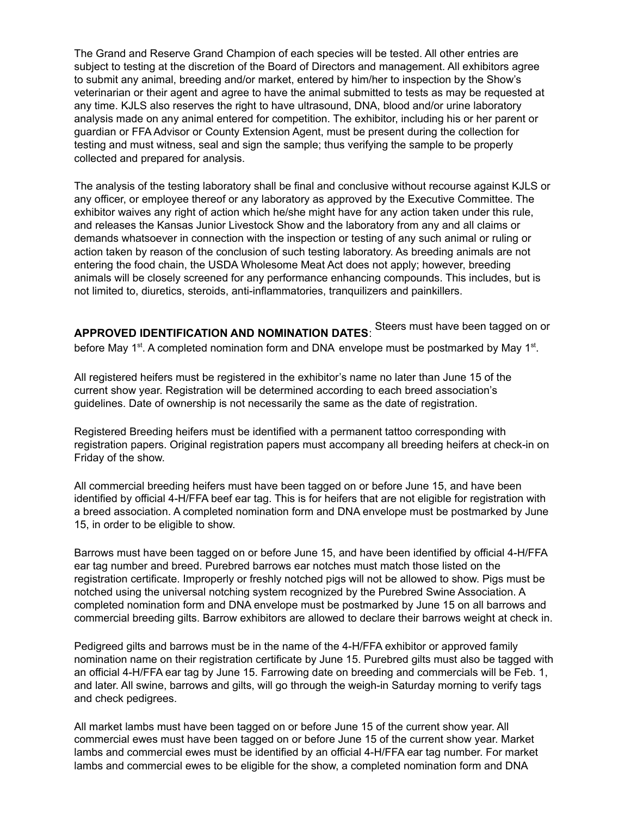The Grand and Reserve Grand Champion of each species will be tested. All other entries are subject to testing at the discretion of the Board of Directors and management. All exhibitors agree to submit any animal, breeding and/or market, entered by him/her to inspection by the Show's veterinarian or their agent and agree to have the animal submitted to tests as may be requested at any time. KJLS also reserves the right to have ultrasound, DNA, blood and/or urine laboratory analysis made on any animal entered for competition. The exhibitor, including his or her parent or guardian or FFA Advisor or County Extension Agent, must be present during the collection for testing and must witness, seal and sign the sample; thus verifying the sample to be properly collected and prepared for analysis.

The analysis of the testing laboratory shall be final and conclusive without recourse against KJLS or any officer, or employee thereof or any laboratory as approved by the Executive Committee. The exhibitor waives any right of action which he/she might have for any action taken under this rule, and releases the Kansas Junior Livestock Show and the laboratory from any and all claims or demands whatsoever in connection with the inspection or testing of any such animal or ruling or action taken by reason of the conclusion of such testing laboratory. As breeding animals are not entering the food chain, the USDA Wholesome Meat Act does not apply; however, breeding animals will be closely screened for any performance enhancing compounds. This includes, but is not limited to, diuretics, steroids, anti-inflammatories, tranquilizers and painkillers.

**APPROVED IDENTIFICATION AND NOMINATION DATES**: Steers must have been tagged on or before May 1<sup>st</sup>. A completed nomination form and DNA envelope must be postmarked by May 1<sup>st</sup>.

All registered heifers must be registered in the exhibitor's name no later than June 15 of the current show year. Registration will be determined according to each breed association's guidelines. Date of ownership is not necessarily the same as the date of registration.

Registered Breeding heifers must be identified with a permanent tattoo corresponding with registration papers. Original registration papers must accompany all breeding heifers at check-in on Friday of the show.

All commercial breeding heifers must have been tagged on or before June 15, and have been identified by official 4-H/FFA beef ear tag. This is for heifers that are not eligible for registration with a breed association. A completed nomination form and DNA envelope must be postmarked by June 15, in order to be eligible to show.

Barrows must have been tagged on or before June 15, and have been identified by official 4-H/FFA ear tag number and breed. Purebred barrows ear notches must match those listed on the registration certificate. Improperly or freshly notched pigs will not be allowed to show. Pigs must be notched using the universal notching system recognized by the Purebred Swine Association. A completed nomination form and DNA envelope must be postmarked by June 15 on all barrows and commercial breeding gilts. Barrow exhibitors are allowed to declare their barrows weight at check in.

Pedigreed gilts and barrows must be in the name of the 4-H/FFA exhibitor or approved family nomination name on their registration certificate by June 15. Purebred gilts must also be tagged with an official 4-H/FFA ear tag by June 15. Farrowing date on breeding and commercials will be Feb. 1, and later. All swine, barrows and gilts, will go through the weigh-in Saturday morning to verify tags and check pedigrees.

All market lambs must have been tagged on or before June 15 of the current show year. All commercial ewes must have been tagged on or before June 15 of the current show year. Market lambs and commercial ewes must be identified by an official 4-H/FFA ear tag number. For market lambs and commercial ewes to be eligible for the show, a completed nomination form and DNA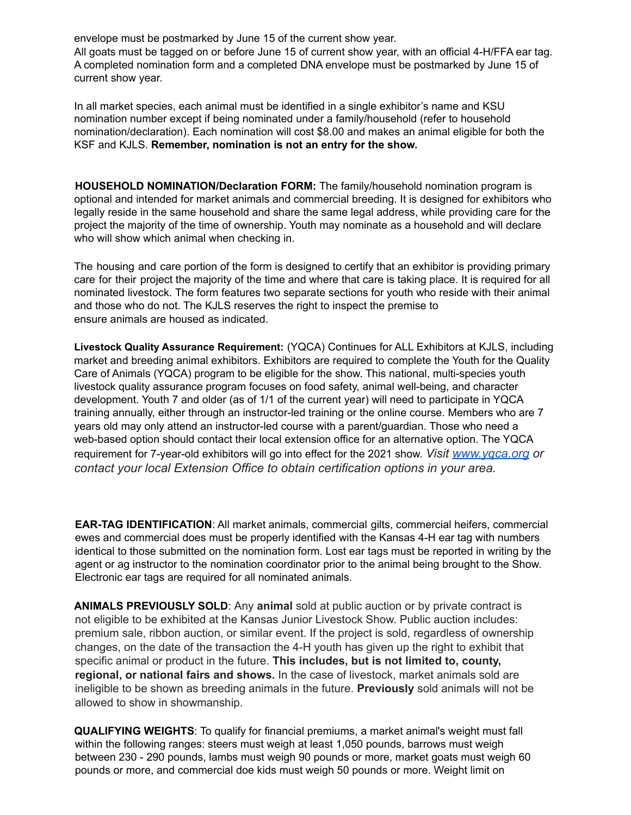envelope must be postmarked by June 15 of the current show year.

All goats must be tagged on or before June 15 of current show year, with an official 4-H/FFA ear tag. A completed nomination form and a completed DNA envelope must be postmarked by June 15 of current show year.

In all market species, each animal must be identified in a single exhibitor's name and KSU nomination number except if being nominated under a family/household (refer to household nomination/declaration). Each nomination will cost \$8.00 and makes an animal eligible for both the KSF and KJLS. **Remember, nomination is not an entry for the show.**

**HOUSEHOLD NOMINATION/Declaration FORM:** The family/household nomination program is optional and intended for market animals and commercial breeding. It is designed for exhibitors who legally reside in the same household and share the same legal address, while providing care for the project the majority of the time of ownership. Youth may nominate as a household and will declare who will show which animal when checking in.

The housing and care portion of the form is designed to certify that an exhibitor is providing primary care for their project the majority of the time and where that care is taking place. It is required for all nominated livestock. The form features two separate sections for youth who reside with their animal and those who do not. The KJLS reserves the right to inspect the premise to ensure animals are housed as indicated.

**Livestock Quality Assurance Requirement:** (YQCA) Continues for ALL Exhibitors at KJLS, including market and breeding animal exhibitors. Exhibitors are required to complete the Youth for the Quality Care of Animals (YQCA) program to be eligible for the show. This national, multi-species youth livestock quality assurance program focuses on food safety, animal well-being, and character development. Youth 7 and older (as of 1/1 of the current year) will need to participate in YQCA training annually, either through an instructor-led training or the online course. Members who are 7 years old may only attend an instructor-led course with a parent/guardian. Those who need a web-based option should contact their local extension office for an alternative option. The YQCA requirement for 7-year-old exhibitors will go into effect for the 2021 show. *Visit www.yqca.org or contact your local Extension Office to obtain certification options in your area.*

**EAR-TAG IDENTIFICATION:** All market animals, commercial gilts, commercial heifers, commercial ewes and commercial does must be properly identified with the Kansas 4-H ear tag with numbers identical to those submitted on the nomination form. Lost ear tags must be reported in writing by the agent or ag instructor to the nomination coordinator prior to the animal being brought to the Show. Electronic ear tags are required for all nominated animals.

**ANIMALS PREVIOUSLY SOLD**: Any **animal** sold at public auction or by private contract is not eligible to be exhibited at the Kansas Junior Livestock Show. Public auction includes: premium sale, ribbon auction, or similar event. If the project is sold, regardless of ownership changes, on the date of the transaction the 4-H youth has given up the right to exhibit that specific animal or product in the future. **This includes, but is not limited to, county, regional, or national fairs and shows.** In the case of livestock, market animals sold are ineligible to be shown as breeding animals in the future. **Previously** sold animals will not be allowed to show in showmanship.

**QUALIFYING WEIGHTS**: To qualify for financial premiums, a market animal's weight must fall within the following ranges: steers must weigh at least 1,050 pounds, barrows must weigh between 230 - 290 pounds, lambs must weigh 90 pounds or more, market goats must weigh 60 pounds or more, and commercial doe kids must weigh 50 pounds or more. Weight limit on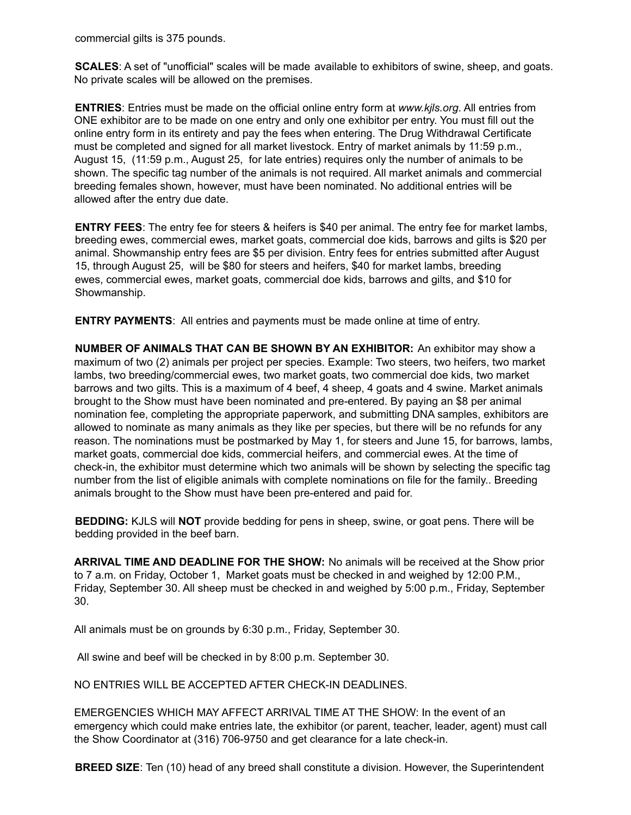commercial gilts is 375 pounds.

**SCALES**: A set of "unofficial" scales will be made available to exhibitors of swine, sheep, and goats. No private scales will be allowed on the premises.

**ENTRIES**: Entries must be made on the official online entry form at *www.kjls.org*. All entries from ONE exhibitor are to be made on one entry and only one exhibitor per entry. You must fill out the online entry form in its entirety and pay the fees when entering. The Drug Withdrawal Certificate must be completed and signed for all market livestock. Entry of market animals by 11:59 p.m., August 15, (11:59 p.m., August 25, for late entries) requires only the number of animals to be shown. The specific tag number of the animals is not required. All market animals and commercial breeding females shown, however, must have been nominated. No additional entries will be allowed after the entry due date.

**ENTRY FEES**: The entry fee for steers & heifers is \$40 per animal. The entry fee for market lambs, breeding ewes, commercial ewes, market goats, commercial doe kids, barrows and gilts is \$20 per animal. Showmanship entry fees are \$5 per division. Entry fees for entries submitted after August 15, through August 25, will be \$80 for steers and heifers, \$40 for market lambs, breeding ewes, commercial ewes, market goats, commercial doe kids, barrows and gilts, and \$10 for Showmanship.

**ENTRY PAYMENTS**: All entries and payments must be made online at time of entry.

**NUMBER OF ANIMALS THAT CAN BE SHOWN BY AN EXHIBITOR:** An exhibitor may show a maximum of two (2) animals per project per species. Example: Two steers, two heifers, two market lambs, two breeding/commercial ewes, two market goats, two commercial doe kids, two market barrows and two gilts. This is a maximum of 4 beef, 4 sheep, 4 goats and 4 swine. Market animals brought to the Show must have been nominated and pre-entered. By paying an \$8 per animal nomination fee, completing the appropriate paperwork, and submitting DNA samples, exhibitors are allowed to nominate as many animals as they like per species, but there will be no refunds for any reason. The nominations must be postmarked by May 1, for steers and June 15, for barrows, lambs, market goats, commercial doe kids, commercial heifers, and commercial ewes. At the time of check-in, the exhibitor must determine which two animals will be shown by selecting the specific tag number from the list of eligible animals with complete nominations on file for the family.. Breeding animals brought to the Show must have been pre-entered and paid for.

**BEDDING:** KJLS will **NOT** provide bedding for pens in sheep, swine, or goat pens. There will be bedding provided in the beef barn.

**ARRIVAL TIME AND DEADLINE FOR THE SHOW:** No animals will be received at the Show prior to 7 a.m. on Friday, October 1, Market goats must be checked in and weighed by 12:00 P.M., Friday, September 30. All sheep must be checked in and weighed by 5:00 p.m., Friday, September 30.

All animals must be on grounds by 6:30 p.m., Friday, September 30.

All swine and beef will be checked in by 8:00 p.m. September 30.

NO ENTRIES WILL BE ACCEPTED AFTER CHECK-IN DEADLINES.

EMERGENCIES WHICH MAY AFFECT ARRIVAL TIME AT THE SHOW: In the event of an emergency which could make entries late, the exhibitor (or parent, teacher, leader, agent) must call the Show Coordinator at (316) 706-9750 and get clearance for a late check-in.

**BREED SIZE**: Ten (10) head of any breed shall constitute a division. However, the Superintendent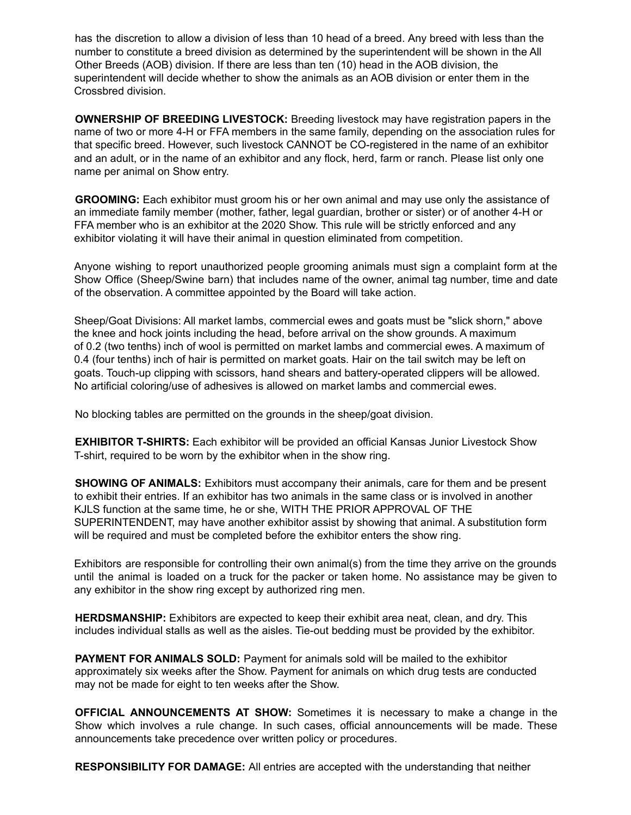has the discretion to allow a division of less than 10 head of a breed. Any breed with less than the number to constitute a breed division as determined by the superintendent will be shown in the All Other Breeds (AOB) division. If there are less than ten (10) head in the AOB division, the superintendent will decide whether to show the animals as an AOB division or enter them in the Crossbred division.

**OWNERSHIP OF BREEDING LIVESTOCK:** Breeding livestock may have registration papers in the name of two or more 4-H or FFA members in the same family, depending on the association rules for that specific breed. However, such livestock CANNOT be CO-registered in the name of an exhibitor and an adult, or in the name of an exhibitor and any flock, herd, farm or ranch. Please list only one name per animal on Show entry.

**GROOMING:** Each exhibitor must groom his or her own animal and may use only the assistance of an immediate family member (mother, father, legal guardian, brother or sister) or of another 4-H or FFA member who is an exhibitor at the 2020 Show. This rule will be strictly enforced and any exhibitor violating it will have their animal in question eliminated from competition.

Anyone wishing to report unauthorized people grooming animals must sign a complaint form at the Show Office (Sheep/Swine barn) that includes name of the owner, animal tag number, time and date of the observation. A committee appointed by the Board will take action.

Sheep/Goat Divisions: All market lambs, commercial ewes and goats must be "slick shorn," above the knee and hock joints including the head, before arrival on the show grounds. A maximum of 0.2 (two tenths) inch of wool is permitted on market lambs and commercial ewes. A maximum of 0.4 (four tenths) inch of hair is permitted on market goats. Hair on the tail switch may be left on goats. Touch-up clipping with scissors, hand shears and battery-operated clippers will be allowed. No artificial coloring/use of adhesives is allowed on market lambs and commercial ewes.

No blocking tables are permitted on the grounds in the sheep/goat division.

**EXHIBITOR T-SHIRTS:** Each exhibitor will be provided an official Kansas Junior Livestock Show T-shirt, required to be worn by the exhibitor when in the show ring.

**SHOWING OF ANIMALS:** Exhibitors must accompany their animals, care for them and be present to exhibit their entries. If an exhibitor has two animals in the same class or is involved in another KJLS function at the same time, he or she, WITH THE PRIOR APPROVAL OF THE SUPERINTENDENT, may have another exhibitor assist by showing that animal. A substitution form will be required and must be completed before the exhibitor enters the show ring.

Exhibitors are responsible for controlling their own animal(s) from the time they arrive on the grounds until the animal is loaded on a truck for the packer or taken home. No assistance may be given to any exhibitor in the show ring except by authorized ring men.

**HERDSMANSHIP:** Exhibitors are expected to keep their exhibit area neat, clean, and dry. This includes individual stalls as well as the aisles. Tie-out bedding must be provided by the exhibitor.

**PAYMENT FOR ANIMALS SOLD:** Payment for animals sold will be mailed to the exhibitor approximately six weeks after the Show. Payment for animals on which drug tests are conducted may not be made for eight to ten weeks after the Show.

**OFFICIAL ANNOUNCEMENTS AT SHOW:** Sometimes it is necessary to make a change in the Show which involves a rule change. In such cases, official announcements will be made. These announcements take precedence over written policy or procedures.

**RESPONSIBILITY FOR DAMAGE:** All entries are accepted with the understanding that neither